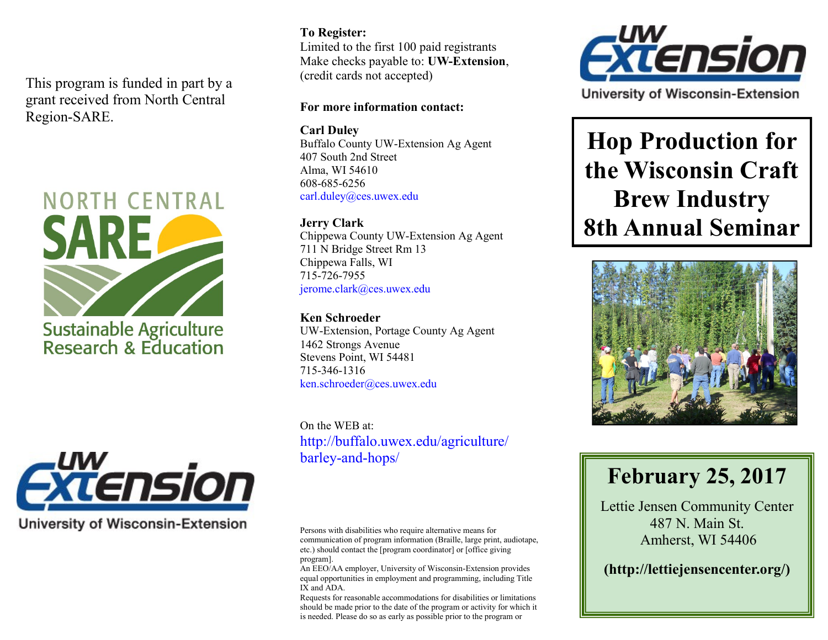This program is funded in part by a grant received from North Central Region-SARE.





**University of Wisconsin-Extension** 

#### **To Register:**

Limited to the first 100 paid registrants Make checks payable to: **UW-Extension**, (credit cards not accepted)

### **For more information contact:**

**Carl Duley**  Buffalo County UW-Extension Ag Agent 407 South 2nd Street Alma, WI 54610 608-685-6256 carl.duley@ces.uwex.edu

**Jerry Clark** Chippewa County UW-Extension Ag Agent 711 N Bridge Street Rm 13 Chippewa Falls, WI 715-726-7955 jerome.clark@ces.uwex.edu

**Ken Schroeder** UW-Extension, Portage County Ag Agent 1462 Strongs Avenue Stevens Point, WI 54481 715-346-1316 ken.schroeder@ces.uwex.edu

On the WEB at: http://buffalo.uwex.edu/agriculture/ barley-and-hops/

Persons with disabilities who require alternative means for communication of program information (Braille, large print, audiotape, etc.) should contact the [program coordinator] or [office giving program].

An EEO/AA employer, University of Wisconsin-Extension provides equal opportunities in employment and programming, including Title IX and ADA.

Requests for reasonable accommodations for disabilities or limitations should be made prior to the date of the program or activity for which it is needed. Please do so as early as possible prior to the program or



University of Wisconsin-Extension

**Hop Production for the Wisconsin Craft Brew Industry 8th Annual Seminar**



# **February 25, 2017**

Lettie Jensen Community Center 487 N. Main St. Amherst, WI 54406

**(http://lettiejensencenter.org/)**